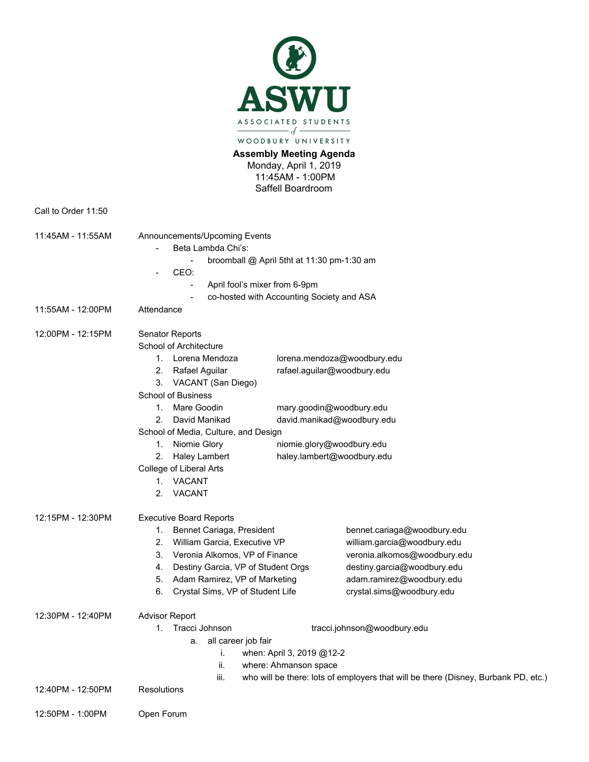

**Assembly Meeting Agenda**

Monday, April 1, 2019 11:45AM - 1:00PM Saffell Boardroom

Call to Order 11:50

| 11:45AM - 11:55AM | Announcements/Upcoming Events<br>Beta Lambda Chi's:                                                             |  |                                                                                    |                   |                                           |  |  |
|-------------------|-----------------------------------------------------------------------------------------------------------------|--|------------------------------------------------------------------------------------|-------------------|-------------------------------------------|--|--|
|                   | broomball @ April 5tht at 11:30 pm-1:30 am<br>$\overline{\phantom{a}}$<br>CEO:<br>April fool's mixer from 6-9pm |  |                                                                                    |                   |                                           |  |  |
|                   |                                                                                                                 |  |                                                                                    |                   | co-hosted with Accounting Society and ASA |  |  |
|                   |                                                                                                                 |  |                                                                                    | 11:55AM - 12:00PM | Attendance                                |  |  |
| 12:00PM - 12:15PM | Senator Reports                                                                                                 |  |                                                                                    |                   |                                           |  |  |
|                   | <b>School of Architecture</b>                                                                                   |  |                                                                                    |                   |                                           |  |  |
|                   | 1. Lorena Mendoza                                                                                               |  | lorena.mendoza@woodbury.edu                                                        |                   |                                           |  |  |
|                   | 2. Rafael Aguilar                                                                                               |  | rafael.aguilar@woodbury.edu                                                        |                   |                                           |  |  |
|                   | VACANT (San Diego)<br>3.                                                                                        |  |                                                                                    |                   |                                           |  |  |
|                   | <b>School of Business</b>                                                                                       |  |                                                                                    |                   |                                           |  |  |
|                   | Mare Goodin<br>1.                                                                                               |  | mary.goodin@woodbury.edu                                                           |                   |                                           |  |  |
|                   | 2 <sub>1</sub><br>David Manikad                                                                                 |  | david.manikad@woodbury.edu                                                         |                   |                                           |  |  |
|                   | School of Media, Culture, and Design                                                                            |  |                                                                                    |                   |                                           |  |  |
|                   | 1.<br>Niomie Glory                                                                                              |  | niomie.glory@woodbury.edu                                                          |                   |                                           |  |  |
|                   | 2.<br><b>Haley Lambert</b>                                                                                      |  | haley.lambert@woodbury.edu                                                         |                   |                                           |  |  |
|                   | College of Liberal Arts                                                                                         |  |                                                                                    |                   |                                           |  |  |
|                   | 1. VACANT                                                                                                       |  |                                                                                    |                   |                                           |  |  |
|                   | 2.<br>VACANT                                                                                                    |  |                                                                                    |                   |                                           |  |  |
| 12:15PM - 12:30PM | <b>Executive Board Reports</b>                                                                                  |  |                                                                                    |                   |                                           |  |  |
|                   | Bennet Cariaga, President<br>1.                                                                                 |  | bennet.cariaga@woodbury.edu                                                        |                   |                                           |  |  |
|                   | 2.<br>William Garcia, Executive VP                                                                              |  | william.garcia@woodbury.edu                                                        |                   |                                           |  |  |
|                   | Veronia Alkomos, VP of Finance<br>3.                                                                            |  | veronia.alkomos@woodbury.edu                                                       |                   |                                           |  |  |
|                   | Destiny Garcia, VP of Student Orgs<br>4.                                                                        |  | destiny.garcia@woodbury.edu                                                        |                   |                                           |  |  |
|                   | 5.<br>Adam Ramirez, VP of Marketing                                                                             |  | adam.ramirez@woodbury.edu                                                          |                   |                                           |  |  |
|                   | Crystal Sims, VP of Student Life<br>6.                                                                          |  | crystal.sims@woodbury.edu                                                          |                   |                                           |  |  |
| 12:30PM - 12:40PM | <b>Advisor Report</b>                                                                                           |  |                                                                                    |                   |                                           |  |  |
|                   | Tracci Johnson<br>tracci.johnson@woodbury.edu<br>1.                                                             |  |                                                                                    |                   |                                           |  |  |
|                   | all career job fair<br>a.                                                                                       |  |                                                                                    |                   |                                           |  |  |
|                   | when: April 3, 2019 @12-2<br>i.                                                                                 |  |                                                                                    |                   |                                           |  |  |
|                   | ii.<br>where: Ahmanson space                                                                                    |  |                                                                                    |                   |                                           |  |  |
|                   | iii.                                                                                                            |  | who will be there: lots of employers that will be there (Disney, Burbank PD, etc.) |                   |                                           |  |  |
| 12:40PM - 12:50PM | <b>Resolutions</b>                                                                                              |  |                                                                                    |                   |                                           |  |  |
|                   |                                                                                                                 |  |                                                                                    |                   |                                           |  |  |

12:50PM - 1:00PM Open Forum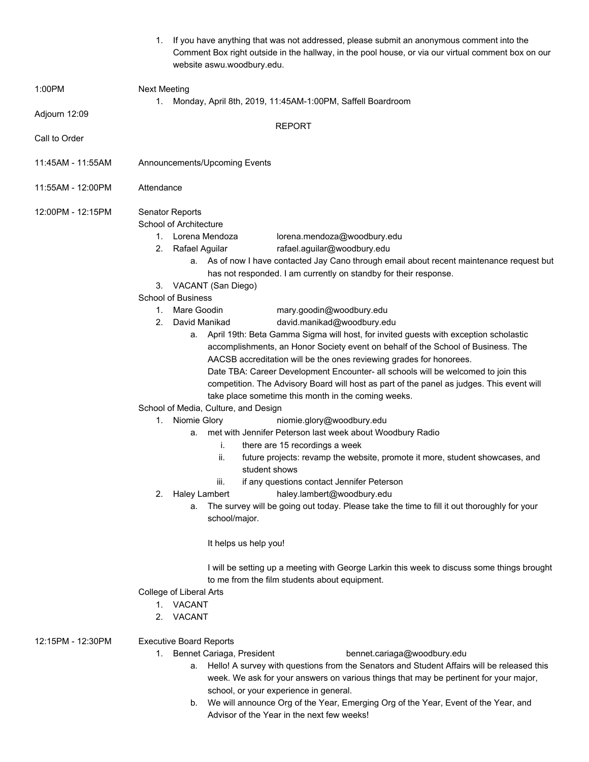- 1. If you have anything that was not addressed, please submit an anonymous comment into the Comment Box right outside in the hallway, in the pool house, or via our virtual comment box on our website aswu.woodbury.edu. 1:00PM Next Meeting 1. Monday, April 8th, 2019, 11:45AM-1:00PM, Saffell Boardroom Adjourn 12:09 REPORT Call to Order 11:45AM - 11:55AM Announcements/Upcoming Events 11:55AM - 12:00PM Attendance 12:00PM - 12:15PM Senator Reports School of Architecture 1. Lorena Mendoza lorena.mendoza@woodbury.edu 2. Rafael Aguilar rafael.aguilar@woodbury.edu a. As of now I have contacted Jay Cano through email about recent maintenance request but has not responded. I am currently on standby for their response. 3. VACANT (San Diego) School of Business 1. Mare Goodin mary.goodin@woodbury.edu 2. David Manikad david.manikad@woodbury.edu a. April 19th: Beta Gamma Sigma will host, for invited guests with exception scholastic accomplishments, an Honor Society event on behalf of the School of Business. The AACSB accreditation will be the ones reviewing grades for honorees. Date TBA: Career Development Encounter- all schools will be welcomed to join this competition. The Advisory Board will host as part of the panel as judges. This event will take place sometime this month in the coming weeks. School of Media, Culture, and Design 1. Niomie Glory niomie.glory@woodbury.edu a. met with Jennifer Peterson last week about Woodbury Radio i. there are 15 recordings a week ii. future projects: revamp the website, promote it more, student showcases, and student shows iii. if any questions contact Jennifer Peterson 2. Haley Lambert haley.lambert@woodbury.edu a. The survey will be going out today. Please take the time to fill it out thoroughly for your school/major. It helps us help you! I will be setting up a meeting with George Larkin this week to discuss some things brought to me from the film students about equipment. College of Liberal Arts 1. VACANT 2. VACANT 12:15PM - 12:30PM Executive Board Reports 1. Bennet Cariaga, President bennet.cariaga@woodbury.edu a. Hello! A survey with questions from the Senators and Student Affairs will be released this
	- week. We ask for your answers on various things that may be pertinent for your major, school, or your experience in general.
	- b. We will announce Org of the Year, Emerging Org of the Year, Event of the Year, and Advisor of the Year in the next few weeks!